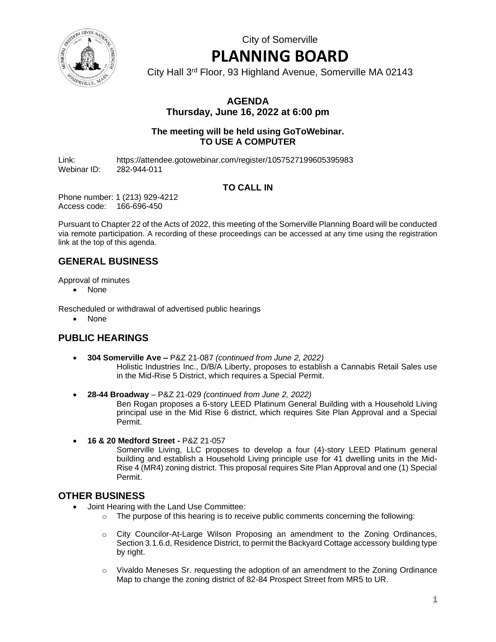City of Somerville

# **PLANNING BOARD**

City Hall 3rd Floor, 93 Highland Avenue, Somerville MA 02143

## **AGENDA Thursday, June 16, 2022 at 6:00 pm**

#### **The meeting will be held using GoToWebinar. TO USE A COMPUTER**

Link: https://attendee.gotowebinar.com/register/1057527199605395983 Webinar ID: 282-944-011

## **TO CALL IN**

Phone number: 1 (213) 929-4212 Access code: 166-696-450

Pursuant to Chapter 22 of the Acts of 2022, this meeting of the Somerville Planning Board will be conducted via remote participation. A recording of these proceedings can be accessed at any time using the registration link at the top of this agenda.

## **GENERAL BUSINESS**

Approval of minutes

• None

Rescheduled or withdrawal of advertised public hearings

• None

## **PUBLIC HEARINGS**

- **304 Somerville Ave –** P&Z 21-087 *(continued from June 2, 2022)* Holistic Industries Inc., D/B/A Liberty, proposes to establish a Cannabis Retail Sales use in the Mid-Rise 5 District, which requires a Special Permit.
- **28-44 Broadway** P&Z 21-029 *(continued from June 2, 2022)*

Ben Rogan proposes a 6-story LEED Platinum General Building with a Household Living principal use in the Mid Rise 6 district, which requires Site Plan Approval and a Special Permit.

• **16 & 20 Medford Street -** P&Z 21-057

Somerville Living, LLC proposes to develop a four (4)-story LEED Platinum general building and establish a Household Living principle use for 41 dwelling units in the Mid-Rise 4 (MR4) zoning district. This proposal requires Site Plan Approval and one (1) Special Permit.

#### **OTHER BUSINESS**

- Joint Hearing with the Land Use Committee:
	- $\circ$  The purpose of this hearing is to receive public comments concerning the following:
		- o City Councilor-At-Large Wilson Proposing an amendment to the Zoning Ordinances, Section 3.1.6.d, Residence District, to permit the Backyard Cottage accessory building type by right.
		- o Vivaldo Meneses Sr. requesting the adoption of an amendment to the Zoning Ordinance Map to change the zoning district of 82-84 Prospect Street from MR5 to UR.